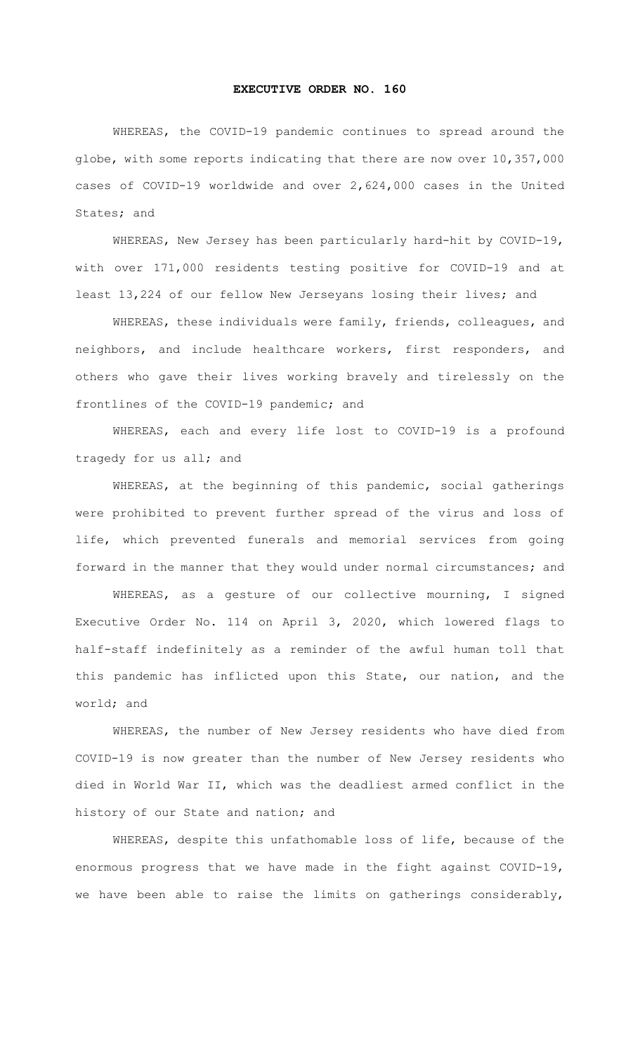## **EXECUTIVE ORDER NO. 160**

WHEREAS, the COVID-19 pandemic continues to spread around the globe, with some reports indicating that there are now over 10,357,000 cases of COVID-19 worldwide and over 2,624,000 cases in the United States; and

 WHEREAS, New Jersey has been particularly hard-hit by COVID-19, with over 171,000 residents testing positive for COVID-19 and at least 13,224 of our fellow New Jerseyans losing their lives; and

WHEREAS, these individuals were family, friends, colleagues, and neighbors, and include healthcare workers, first responders, and others who gave their lives working bravely and tirelessly on the frontlines of the COVID-19 pandemic; and

WHEREAS, each and every life lost to COVID-19 is a profound tragedy for us all; and

 WHEREAS, at the beginning of this pandemic, social gatherings were prohibited to prevent further spread of the virus and loss of life, which prevented funerals and memorial services from going forward in the manner that they would under normal circumstances; and

WHEREAS, as a gesture of our collective mourning, I signed Executive Order No. 114 on April 3, 2020, which lowered flags to half-staff indefinitely as a reminder of the awful human toll that this pandemic has inflicted upon this State, our nation, and the world; and

WHEREAS, the number of New Jersey residents who have died from COVID-19 is now greater than the number of New Jersey residents who died in World War II, which was the deadliest armed conflict in the history of our State and nation; and

WHEREAS, despite this unfathomable loss of life, because of the enormous progress that we have made in the fight against COVID-19, we have been able to raise the limits on gatherings considerably,